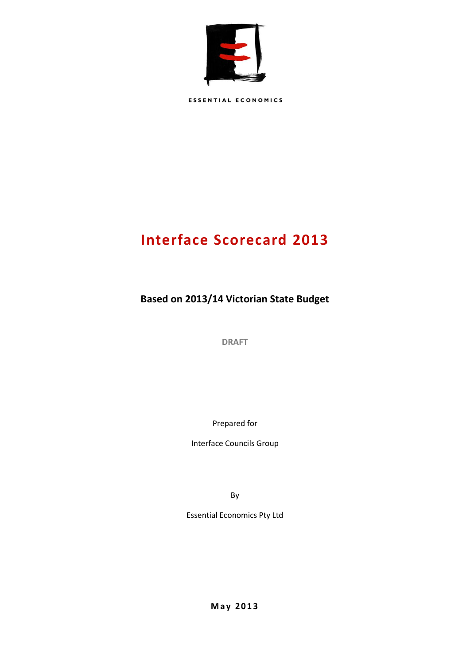

**ESSENTIAL ECONOMICS** 

# **Interface Scorecard 2013**

**Based on 2013/14 Victorian State Budget**

**DRAFT**

Prepared for

Interface Councils Group

By

Essential Economics Pty Ltd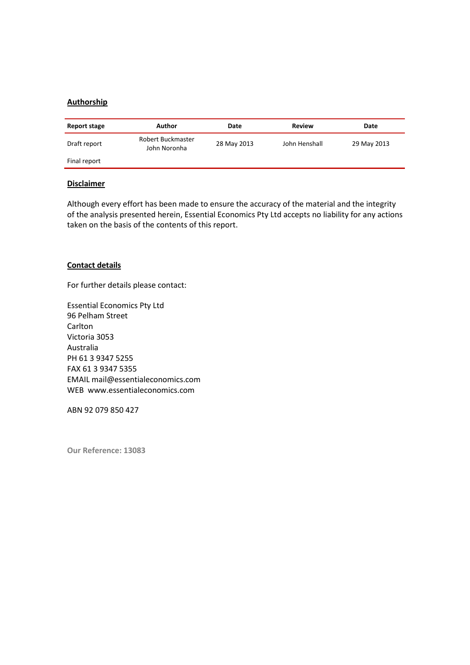### **Authorship**

| Report stage | Author                            | Date        | Review        | Date        |
|--------------|-----------------------------------|-------------|---------------|-------------|
| Draft report | Robert Buckmaster<br>John Noronha | 28 May 2013 | John Henshall | 29 May 2013 |
| Final report |                                   |             |               |             |

#### **Disclaimer**

Although every effort has been made to ensure the accuracy of the material and the integrity of the analysis presented herein, Essential Economics Pty Ltd accepts no liability for any actions taken on the basis of the contents of this report.

#### **Contact details**

For further details please contact:

Essential Economics Pty Ltd 96 Pelham Street **Carlton** Victoria 3053 Australia PH 61 3 9347 5255 FAX 61 3 9347 5355 EMAIL mail@essentialeconomics.com WEB www.essentialeconomics.com

ABN 92 079 850 427

**Our Reference: 13083**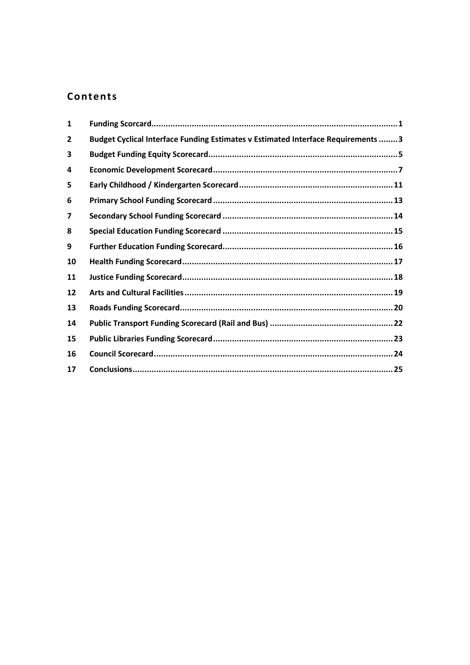## Contents

| $\mathbf{1}$ |                                                                                   |  |
|--------------|-----------------------------------------------------------------------------------|--|
| 2            | Budget Cyclical Interface Funding Estimates v Estimated Interface Requirements  3 |  |
| 3            |                                                                                   |  |
| 4            |                                                                                   |  |
| 5            |                                                                                   |  |
| 6            |                                                                                   |  |
| 7            |                                                                                   |  |
| 8            |                                                                                   |  |
| 9            |                                                                                   |  |
| 10           |                                                                                   |  |
| 11           |                                                                                   |  |
| 12           |                                                                                   |  |
| 13           |                                                                                   |  |
| 14           |                                                                                   |  |
| 15           |                                                                                   |  |
| 16           |                                                                                   |  |
| 17           |                                                                                   |  |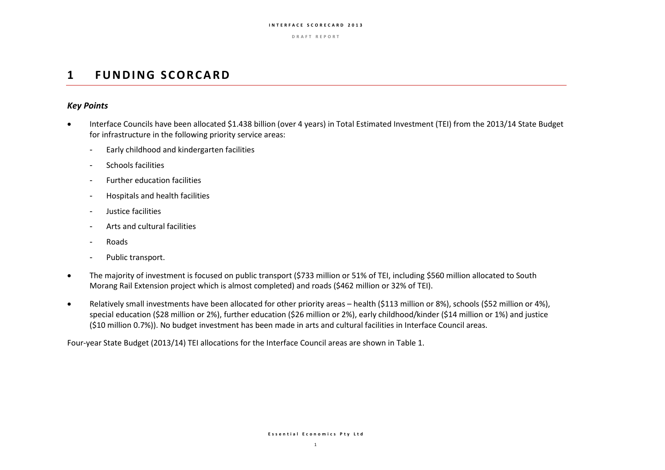**D R A F T R E P O R T**

## **1 FUNDING SCORCARD**

### *Key Points*

- Interface Councils have been allocated \$1.438 billion (over 4 years) in Total Estimated Investment (TEI) from the 2013/14 State Budget for infrastructure in the following priority service areas:
	- Early childhood and kindergarten facilities
	- Schools facilities
	- Further education facilities
	- Hospitals and health facilities
	- Justice facilities
	- Arts and cultural facilities
	- Roads
	- Public transport.
- The majority of investment is focused on public transport (\$733 million or 51% of TEI, including \$560 million allocated to South Morang Rail Extension project which is almost completed) and roads (\$462 million or 32% of TEI).
- Relatively small investments have been allocated for other priority areas health (\$113 million or 8%), schools (\$52 million or 4%), special education (\$28 million or 2%), further education (\$26 million or 2%), early childhood/kinder (\$14 million or 1%) and justice (\$10 million 0.7%)). No budget investment has been made in arts and cultural facilities in Interface Council areas.

Four-year State Budget (2013/14) TEI allocations for the Interface Council areas are shown in Table 1.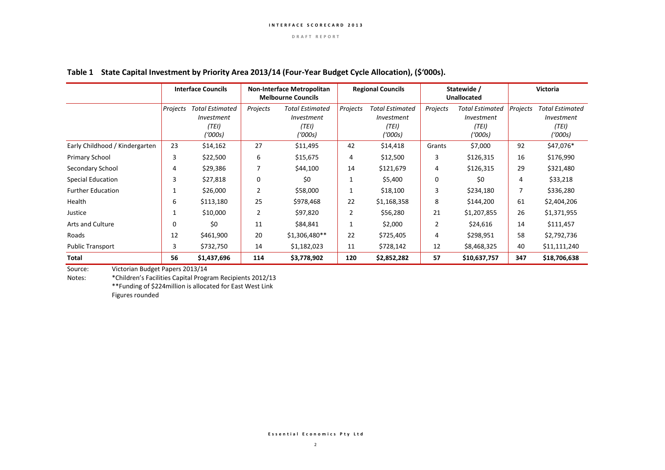|                                | <b>Interface Councils</b><br><b>Non-Interface Metropolitan</b><br><b>Melbourne Councils</b> |                                                          |                | <b>Regional Councils</b>                                        |          | Statewide /<br><b>Unallocated</b>                        |          | <b>Victoria</b>                                          |          |                                                   |
|--------------------------------|---------------------------------------------------------------------------------------------|----------------------------------------------------------|----------------|-----------------------------------------------------------------|----------|----------------------------------------------------------|----------|----------------------------------------------------------|----------|---------------------------------------------------|
|                                | Projects                                                                                    | <b>Total Estimated</b><br>Investment<br>(TEI)<br>(1000s) | Projects       | <b>Total Estimated</b><br><i>Investment</i><br>(TEI)<br>('000s) | Projects | <b>Total Estimated</b><br>Investment<br>(TEI)<br>('000s) | Projects | <b>Total Estimated</b><br>Investment<br>(TEI)<br>('000s) | Projects | Total Estimated<br>Investment<br>(TEI)<br>('000s) |
| Early Childhood / Kindergarten | 23                                                                                          | \$14,162                                                 | 27             | \$11,495                                                        | 42       | \$14,418                                                 | Grants   | \$7,000                                                  | 92       | \$47,076*                                         |
| <b>Primary School</b>          | 3                                                                                           | \$22,500                                                 | 6              | \$15,675                                                        | 4        | \$12,500                                                 | 3        | \$126,315                                                | 16       | \$176,990                                         |
| Secondary School               | 4                                                                                           | \$29,386                                                 | 7              | \$44,100                                                        | 14       | \$121,679                                                | 4        | \$126,315                                                | 29       | \$321,480                                         |
| <b>Special Education</b>       | 3                                                                                           | \$27,818                                                 | 0              | \$0                                                             | 1        | \$5,400                                                  | 0        | \$0                                                      | 4        | \$33,218                                          |
| <b>Further Education</b>       |                                                                                             | \$26,000                                                 | $\overline{2}$ | \$58,000                                                        | 1        | \$18,100                                                 | 3        | \$234,180                                                |          | \$336,280                                         |
| Health                         | 6                                                                                           | \$113,180                                                | 25             | \$978,468                                                       | 22       | \$1,168,358                                              | 8        | \$144,200                                                | 61       | \$2,404,206                                       |
| Justice                        |                                                                                             | \$10,000                                                 | $\overline{2}$ | \$97,820                                                        | 2        | \$56,280                                                 | 21       | \$1,207,855                                              | 26       | \$1,371,955                                       |
| <b>Arts and Culture</b>        | $\Omega$                                                                                    | \$0                                                      | 11             | \$84,841                                                        | 1        | \$2,000                                                  | 2        | \$24,616                                                 | 14       | \$111,457                                         |
| Roads                          | 12                                                                                          | \$461,900                                                | 20             | $$1,306,480**$                                                  | 22       | \$725,405                                                | 4        | \$298,951                                                | 58       | \$2,792,736                                       |
| <b>Public Transport</b>        | 3                                                                                           | \$732,750                                                | 14             | \$1,182,023                                                     | 11       | \$728,142                                                | 12       | \$8,468,325                                              | 40       | \$11,111,240                                      |
| Total                          | 56                                                                                          | \$1,437,696                                              | 114            | \$3,778,902                                                     | 120      | \$2,852,282                                              | 57       | \$10,637,757                                             | 347      | \$18,706,638                                      |

### **Table 1 State Capital Investment by Priority Area 2013/14 (Four-Year Budget Cycle Allocation), (\$'000s).**

Source: Victorian Budget Papers 2013/14

Notes: \*Children's Facilities Capital Program Recipients 2012/13

\*\*Funding of \$224million is allocated for East West Link

Figures rounded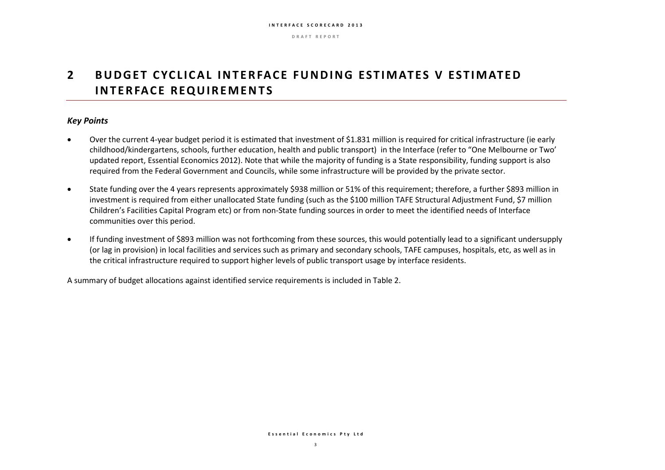**D R A F T R E P O R T**

## **2** BUDGET CYCLICAL INTERFACE FUNDING ESTIMATES V ESTIMATED **INTERFACE REQUIREMENTS**

### *Key Points*

- Over the current 4-year budget period it is estimated that investment of \$1.831 million is required for critical infrastructure (ie early childhood/kindergartens, schools, further education, health and public transport) in the Interface (refer to "One Melbourne or Two' updated report, Essential Economics 2012). Note that while the majority of funding is a State responsibility, funding support is also required from the Federal Government and Councils, while some infrastructure will be provided by the private sector.
- State funding over the 4 years represents approximately \$938 million or 51% of this requirement; therefore, a further \$893 million in investment is required from either unallocated State funding (such as the \$100 million TAFE Structural Adjustment Fund, \$7 million Children's Facilities Capital Program etc) or from non-State funding sources in order to meet the identified needs of Interface communities over this period.
- If funding investment of \$893 million was not forthcoming from these sources, this would potentially lead to a significant undersupply (or lag in provision) in local facilities and services such as primary and secondary schools, TAFE campuses, hospitals, etc, as well as in the critical infrastructure required to support higher levels of public transport usage by interface residents.

A summary of budget allocations against identified service requirements is included in Table 2.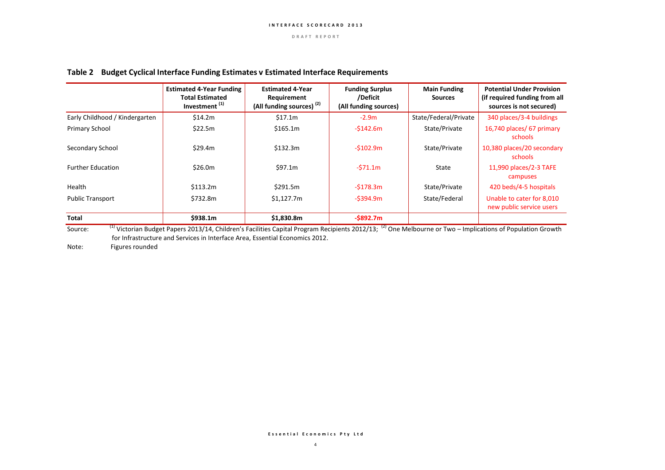#### **Table 2 Budget Cyclical Interface Funding Estimates v Estimated Interface Requirements**

|                                | <b>Estimated 4-Year Funding</b><br><b>Total Estimated</b><br>Investment <sup>(1)</sup> | <b>Estimated 4-Year</b><br>Requirement<br>(All funding sources) <sup>(2)</sup> | <b>Funding Surplus</b><br>/Deficit<br>(All funding sources) | <b>Main Funding</b><br><b>Sources</b> | <b>Potential Under Provision</b><br>(if required funding from all<br>sources is not secured) |
|--------------------------------|----------------------------------------------------------------------------------------|--------------------------------------------------------------------------------|-------------------------------------------------------------|---------------------------------------|----------------------------------------------------------------------------------------------|
| Early Childhood / Kindergarten | \$14.2m                                                                                | \$17.1m                                                                        | $-2.9m$                                                     | State/Federal/Private                 | 340 places/3-4 buildings                                                                     |
| Primary School                 | \$22.5m                                                                                | \$165.1m                                                                       | $-5142.6m$                                                  | State/Private                         | 16,740 places/ 67 primary<br>schools                                                         |
| Secondary School               | \$29.4m                                                                                | \$132.3m                                                                       | $-5102.9m$                                                  | State/Private                         | 10,380 places/20 secondary<br>schools                                                        |
| <b>Further Education</b>       | \$26.0m                                                                                | \$97.1m                                                                        | $-571.1m$                                                   | State                                 | 11,990 places/2-3 TAFE<br>campuses                                                           |
| Health                         | \$113.2m                                                                               | \$291.5m                                                                       | $-5178.3m$                                                  | State/Private                         | 420 beds/4-5 hospitals                                                                       |
| <b>Public Transport</b>        | \$732.8m                                                                               | \$1.127.7m                                                                     | $-5394.9m$                                                  | State/Federal                         | Unable to cater for 8,010<br>new public service users                                        |
| <b>Total</b>                   | \$938.1m                                                                               | \$1,830.8m                                                                     | $-$ \$892.7m                                                |                                       |                                                                                              |

Source: <sup>(1)</sup> Victorian Budget Papers 2013/14, Children's Facilities Capital Program Recipients 2012/13; <sup>(2)</sup> One Melbourne or Two – Implications of Population Growth for Infrastructure and Services in Interface Area, Essential Economics 2012.

Note: Figures rounded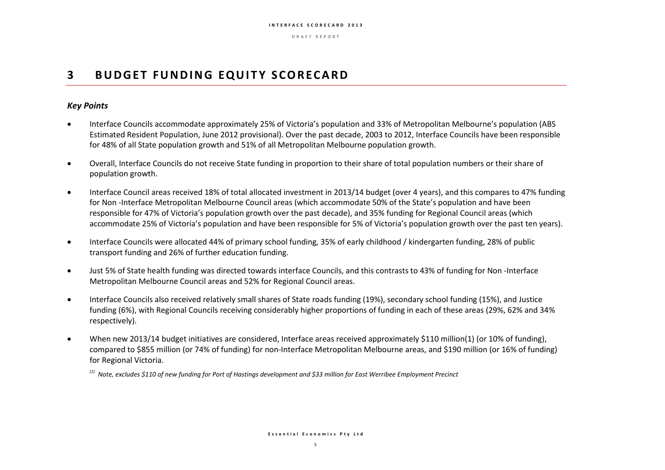**D R A F T R E P O R T**

## **3 BUDGET FUNDING EQUITY SCORECARD**

### *Key Points*

- Interface Councils accommodate approximately 25% of Victoria's population and 33% of Metropolitan Melbourne's population (ABS Estimated Resident Population, June 2012 provisional). Over the past decade, 2003 to 2012, Interface Councils have been responsible for 48% of all State population growth and 51% of all Metropolitan Melbourne population growth.
- Overall, Interface Councils do not receive State funding in proportion to their share of total population numbers or their share of population growth.
- Interface Council areas received 18% of total allocated investment in 2013/14 budget (over 4 years), and this compares to 47% funding for Non -Interface Metropolitan Melbourne Council areas (which accommodate 50% of the State's population and have been responsible for 47% of Victoria's population growth over the past decade), and 35% funding for Regional Council areas (which accommodate 25% of Victoria's population and have been responsible for 5% of Victoria's population growth over the past ten years).
- Interface Councils were allocated 44% of primary school funding, 35% of early childhood / kindergarten funding, 28% of public transport funding and 26% of further education funding.
- Just 5% of State health funding was directed towards interface Councils, and this contrasts to 43% of funding for Non -Interface Metropolitan Melbourne Council areas and 52% for Regional Council areas.
- Interface Councils also received relatively small shares of State roads funding (19%), secondary school funding (15%), and Justice funding (6%), with Regional Councils receiving considerably higher proportions of funding in each of these areas (29%, 62% and 34% respectively).
- When new 2013/14 budget initiatives are considered, Interface areas received approximately \$110 million(1) (or 10% of funding), compared to \$855 million (or 74% of funding) for non-Interface Metropolitan Melbourne areas, and \$190 million (or 16% of funding) for Regional Victoria.

*(1) Note, excludes \$110 of new funding for Port of Hastings development and \$33 million for East Werribee Employment Precinct*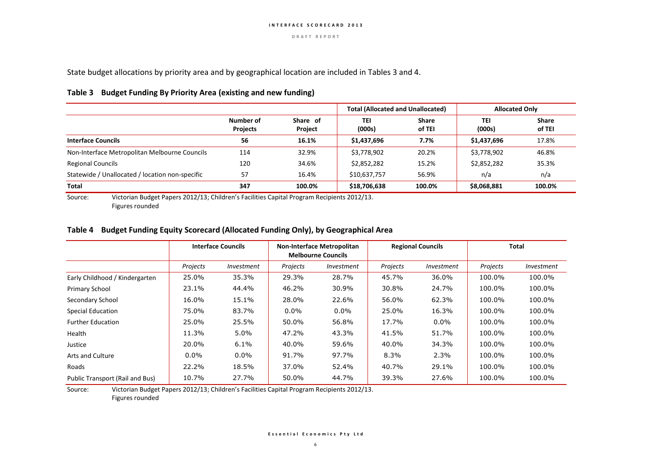State budget allocations by priority area and by geographical location are included in Tables 3 and 4.

#### **Table 3 Budget Funding By Priority Area (existing and new funding)**

|                                                 |                              |                     | <b>Total (Allocated and Unallocated)</b> |                        | <b>Allocated Only</b> |                        |
|-------------------------------------------------|------------------------------|---------------------|------------------------------------------|------------------------|-----------------------|------------------------|
|                                                 | Number of<br><b>Projects</b> | Share of<br>Project | TEI<br>(000s)                            | <b>Share</b><br>of TEI | TEI<br>(000s)         | <b>Share</b><br>of TEI |
| <b>Interface Councils</b>                       | 56                           | 16.1%               | \$1,437,696                              | 7.7%                   | \$1,437,696           | 17.8%                  |
| Non-Interface Metropolitan Melbourne Councils   | 114                          | 32.9%               | \$3,778,902                              | 20.2%                  | \$3,778,902           | 46.8%                  |
| <b>Regional Councils</b>                        | 120                          | 34.6%               | \$2,852,282                              | 15.2%                  | \$2,852,282           | 35.3%                  |
| Statewide / Unallocated / location non-specific | 57                           | 16.4%               | \$10,637,757                             | 56.9%                  | n/a                   | n/a                    |
| Total                                           | 347                          | 100.0%              | \$18,706,638                             | 100.0%                 | \$8,068,881           | 100.0%                 |

Source: Victorian Budget Papers 2012/13; Children's Facilities Capital Program Recipients 2012/13. Figures rounded

#### **Table 4 Budget Funding Equity Scorecard (Allocated Funding Only), by Geographical Area**

|                                 |          | <b>Interface Councils</b> | <b>Non-Interface Metropolitan</b><br><b>Melbourne Councils</b> |            | <b>Regional Councils</b> |                   | Total    |            |
|---------------------------------|----------|---------------------------|----------------------------------------------------------------|------------|--------------------------|-------------------|----------|------------|
|                                 | Projects | <i>Investment</i>         | Projects                                                       | Investment | Projects                 | <i>Investment</i> | Projects | Investment |
| Early Childhood / Kindergarten  | 25.0%    | 35.3%                     | 29.3%                                                          | 28.7%      | 45.7%                    | 36.0%             | 100.0%   | 100.0%     |
| Primary School                  | 23.1%    | 44.4%                     | 46.2%                                                          | 30.9%      | 30.8%                    | 24.7%             | 100.0%   | 100.0%     |
| Secondary School                | 16.0%    | 15.1%                     | 28.0%                                                          | 22.6%      | 56.0%                    | 62.3%             | 100.0%   | 100.0%     |
| <b>Special Education</b>        | 75.0%    | 83.7%                     | $0.0\%$                                                        | $0.0\%$    | 25.0%                    | 16.3%             | 100.0%   | 100.0%     |
| <b>Further Education</b>        | 25.0%    | 25.5%                     | 50.0%                                                          | 56.8%      | 17.7%                    | $0.0\%$           | 100.0%   | 100.0%     |
| Health                          | 11.3%    | 5.0%                      | 47.2%                                                          | 43.3%      | 41.5%                    | 51.7%             | 100.0%   | 100.0%     |
| Justice                         | 20.0%    | 6.1%                      | 40.0%                                                          | 59.6%      | 40.0%                    | 34.3%             | 100.0%   | 100.0%     |
| Arts and Culture                | $0.0\%$  | $0.0\%$                   | 91.7%                                                          | 97.7%      | 8.3%                     | 2.3%              | 100.0%   | 100.0%     |
| Roads                           | 22.2%    | 18.5%                     | 37.0%                                                          | 52.4%      | 40.7%                    | 29.1%             | 100.0%   | 100.0%     |
| Public Transport (Rail and Bus) | 10.7%    | 27.7%                     | 50.0%                                                          | 44.7%      | 39.3%                    | 27.6%             | 100.0%   | 100.0%     |

Source: Victorian Budget Papers 2012/13; Children's Facilities Capital Program Recipients 2012/13.

Figures rounded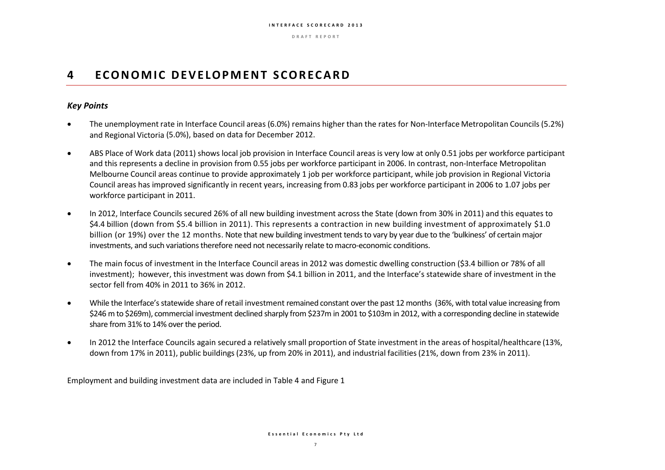**D R A F T R E P O R T**

## **4 E C O N O M I C D E V E LO P M E N T S C O R E C A R D**

### *Key Points*

- The unemployment rate in Interface Council areas (6.0%) remains higher than the rates for Non-Interface Metropolitan Councils(5.2%) and Regional Victoria (5.0%), based on data for December 2012.
- ABS Place of Work data (2011) shows local job provision in Interface Council areas is very low at only 0.51 jobs per workforce participant and this represents a decline in provision from 0.55 jobs per workforce participant in 2006. In contrast, non-Interface Metropolitan Melbourne Council areas continue to provide approximately 1 job per workforce participant, while job provision in Regional Victoria Council areas has improved significantly in recent years, increasing from 0.83 jobs per workforce participant in 2006 to 1.07 jobs per workforce participant in 2011.
- In 2012, Interface Councils secured 26% of all new building investment across the State (down from 30% in 2011) and this equates to \$4.4 billion (down from \$5.4 billion in 2011). This represents a contraction in new building investment of approximately \$1.0 billion (or 19%) over the 12 months. Note that new building investment tends to vary by year due to the 'bulkiness' of certain major investments, and such variations therefore need not necessarily relate to macro-economic conditions.
- The main focus of investment in the Interface Council areas in 2012 was domestic dwelling construction (\$3.4 billion or 78% of all investment); however, this investment was down from \$4.1 billion in 2011, and the Interface's statewide share of investment in the sector fell from 40% in 2011 to 36% in 2012.
- While the Interface's statewide share of retail investment remained constant over the past 12 months (36%, with total value increasing from \$246 m to \$269m), commercial investment declined sharply from \$237m in 2001 to \$103m in 2012, with a corresponding decline in statewide share from 31% to 14% over the period.
- In 2012 the Interface Councils again secured a relatively small proportion of State investment in the areas of hospital/healthcare (13%, down from 17% in 2011), public buildings(23%, up from 20% in 2011), and industrial facilities(21%, down from 23% in 2011).

Employment and building investment data are included in Table 4 and Figure 1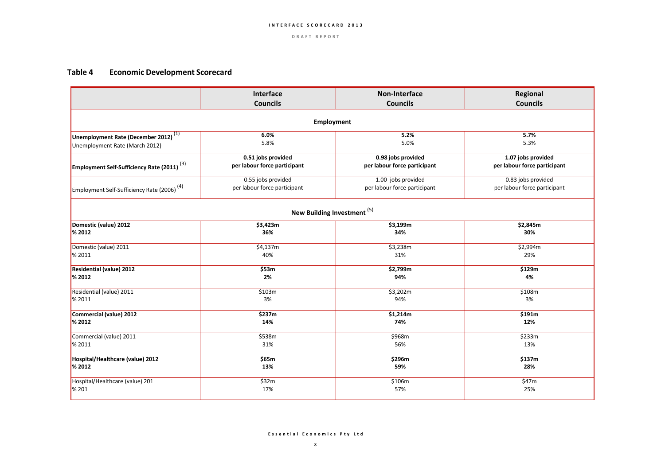### **Table 4 Economic Development Scorecard**

|                                                         | Interface                              | <b>Non-Interface</b>         | Regional                     |  |  |  |  |  |
|---------------------------------------------------------|----------------------------------------|------------------------------|------------------------------|--|--|--|--|--|
|                                                         | <b>Councils</b>                        | <b>Councils</b>              | <b>Councils</b>              |  |  |  |  |  |
| <b>Employment</b>                                       |                                        |                              |                              |  |  |  |  |  |
| Unemployment Rate (December 2012) $\frac{(1)}{(1)}$     | 6.0%                                   | 5.2%                         | 5.7%                         |  |  |  |  |  |
| Unemployment Rate (March 2012)                          | 5.8%                                   | 5.0%                         | 5.3%                         |  |  |  |  |  |
| <b>Employment Self-Sufficiency Rate (2011)</b> $^{(3)}$ | 0.51 jobs provided                     | 0.98 jobs provided           | 1.07 jobs provided           |  |  |  |  |  |
|                                                         | per labour force participant           | per labour force participant | per labour force participant |  |  |  |  |  |
| Employment Self-Sufficiency Rate (2006) <sup>(4)</sup>  | 0.55 jobs provided                     | 1.00 jobs provided           | 0.83 jobs provided           |  |  |  |  |  |
|                                                         | per labour force participant           | per labour force participant | per labour force participant |  |  |  |  |  |
|                                                         | New Building Investment <sup>(5)</sup> |                              |                              |  |  |  |  |  |
| Domestic (value) 2012                                   | \$3,423m                               | \$3,199m                     | \$2,845m                     |  |  |  |  |  |
| <b>% 2012</b>                                           | 36%                                    | 34%                          | 30%                          |  |  |  |  |  |
| Domestic (value) 2011                                   | \$4,137m                               | \$3,238m                     | \$2,994m                     |  |  |  |  |  |
| <b>%2011</b>                                            | 40%                                    | 31%                          | 29%                          |  |  |  |  |  |
| Residential (value) 2012                                | \$53m                                  | \$2,799m                     | \$129m                       |  |  |  |  |  |
| <b>% 2012</b>                                           | 2%                                     | 94%                          | 4%                           |  |  |  |  |  |
| Residential (value) 2011                                | \$103m                                 | \$3,202m                     | \$108m                       |  |  |  |  |  |
| <b>%2011</b>                                            | 3%                                     | 94%                          | 3%                           |  |  |  |  |  |
| Commercial (value) 2012                                 | \$237m                                 | \$1,214m                     | \$191m                       |  |  |  |  |  |
| <b>% 2012</b>                                           | 14%                                    | 74%                          | 12%                          |  |  |  |  |  |
| Commercial (value) 2011                                 | \$538m                                 | \$968m                       | \$233m                       |  |  |  |  |  |
| <b>%2011</b>                                            | 31%                                    | 56%                          | 13%                          |  |  |  |  |  |
| Hospital/Healthcare (value) 2012                        | \$65m                                  | \$296m                       | \$137m                       |  |  |  |  |  |
| <b>% 2012</b>                                           | 13%                                    | 59%                          | 28%                          |  |  |  |  |  |
| Hospital/Healthcare (value) 201                         | \$32m                                  | \$106m                       | \$47m                        |  |  |  |  |  |
| <b>%201</b>                                             | 17%                                    | 57%                          | 25%                          |  |  |  |  |  |

**E s s e n t i a l E c o n o m i c s P t y L t d**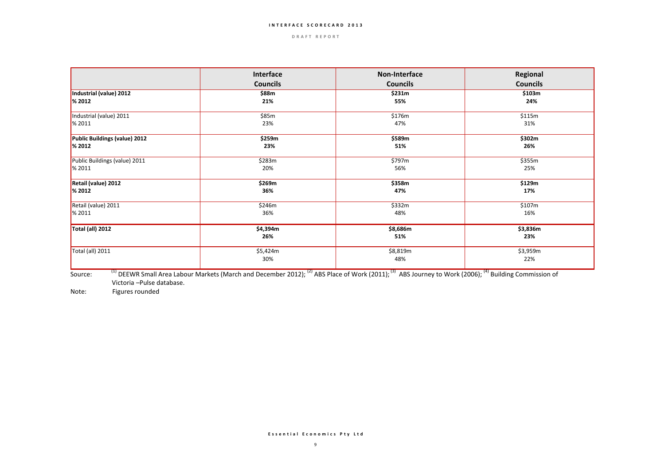#### **D R A F T R E P O R T**

|                               | Interface<br><b>Councils</b> | Non-Interface<br><b>Councils</b> | Regional<br><b>Councils</b> |
|-------------------------------|------------------------------|----------------------------------|-----------------------------|
|                               |                              |                                  |                             |
| Industrial (value) 2012       | \$88m                        | \$231m                           | \$103m                      |
| <b>% 2012</b>                 | 21%                          | 55%                              | 24%                         |
| Industrial (value) 2011       | \$85m                        | \$176m                           | \$115m                      |
| <b>%2011</b>                  | 23%                          | 47%                              | 31%                         |
| Public Buildings (value) 2012 | \$259m                       | \$589m                           | \$302m                      |
| <b>% 2012</b>                 | 23%                          | 51%                              | 26%                         |
| Public Buildings (value) 2011 | \$283m                       | \$797m                           | \$355m                      |
| $\frac{8}{2011}$              | 20%                          | 56%                              | 25%                         |
| Retail (value) 2012           | \$269m                       | \$358m                           | \$129m                      |
| <b>% 2012</b>                 | 36%                          | 47%                              | 17%                         |
| Retail (value) 2011           | \$246m                       | \$332m                           | \$107m                      |
| <b>%2011</b>                  | 36%                          | 48%                              | 16%                         |
| Total (all) 2012              | \$4,394m                     | \$8,686m                         | \$3,836m                    |
|                               | 26%                          | 51%                              | 23%                         |
| Total (all) 2011              | \$5,424m                     | \$8,819m                         | \$3,959m                    |
|                               | 30%                          | 48%                              | 22%                         |

Source: <sup>(1)</sup> DEEWR Small Area Labour Markets (March and December 2012); <sup>(2)</sup> ABS Place of Work (2011); <sup>(3)</sup> ABS Journey to Work (2006); <sup>(4)</sup> Building Commission of Victoria –Pulse database.

Note: Figures rounded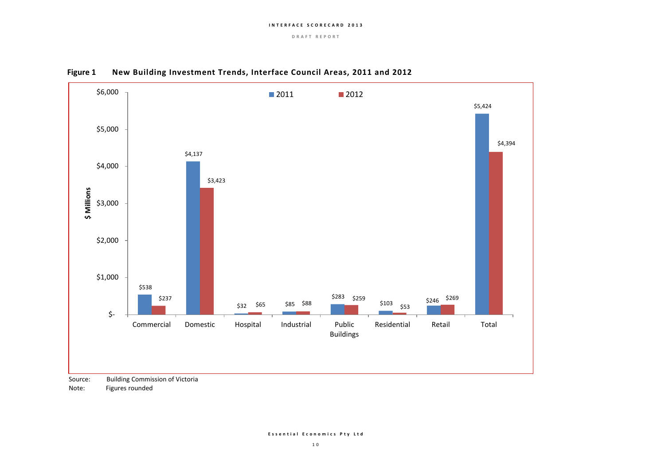**D R A F T R E P O R T**





Source: Building Commission of Victoria

Note: Figures rounded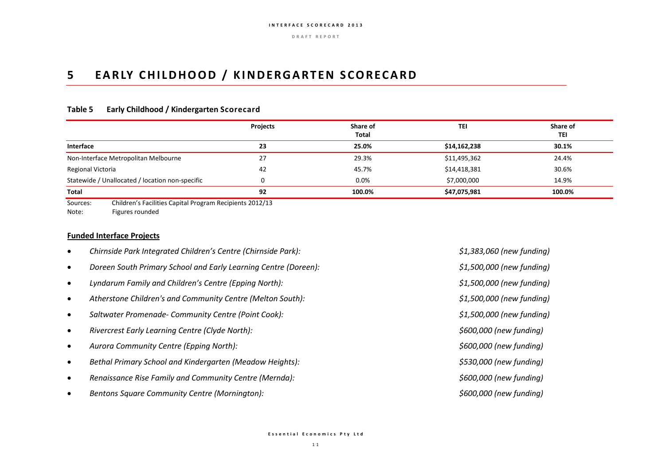## **5 EARLY CHILDHOOD / KINDERGARTEN SCORECARD**

#### **Table 5 Early Childhood / Kindergarten Scorecard**

|                                                                      | Projects | Share of<br>Total | TEI          | Share of<br>TEI |  |  |  |  |
|----------------------------------------------------------------------|----------|-------------------|--------------|-----------------|--|--|--|--|
| <b>Interface</b>                                                     | 23       | 25.0%             | \$14,162,238 | 30.1%           |  |  |  |  |
| Non-Interface Metropolitan Melbourne                                 | 27       | 29.3%             | \$11,495,362 | 24.4%           |  |  |  |  |
| Regional Victoria                                                    | 42       | 45.7%             | \$14,418,381 | 30.6%           |  |  |  |  |
| Statewide / Unallocated / location non-specific                      |          | $0.0\%$           | \$7,000,000  | 14.9%           |  |  |  |  |
| <b>Total</b>                                                         | 92       | 100.0%            | \$47,075,981 | 100.0%          |  |  |  |  |
| Children's Facilities Capital Program Recipients 2012/13<br>Sources: |          |                   |              |                 |  |  |  |  |

Note: Figures rounded

#### **Funded Interface Projects**

- *Chirnside Park Integrated Children's Centre (Chirnside Park): \$1,383,060 (new funding)*
- *Doreen South Primary School and Early Learning Centre (Doreen): \$1,500,000 (new funding)*
- *Lyndarum Family and Children's Centre (Epping North): \$1,500,000 (new funding)*
- *Atherstone Children's and Community Centre (Melton South): \$1,500,000 (new funding)*
- *Saltwater Promenade‐ Community Centre (Point Cook): \$1,500,000 (new funding)*
- *Rivercrest Early Learning Centre (Clyde North): \$600,000 (new funding)*
- *Aurora Community Centre (Epping North): \$600,000 (new funding)*
- *Bethal Primary School and Kindergarten (Meadow Heights): \$530,000 (new funding)*
- *Renaissance Rise Family and Community Centre (Mernda): \$600,000 (new funding)*
- *Bentons Square Community Centre (Mornington): \$600,000 (new funding)*

**E s s e n t i a l E c o n o m i c s P t y L t d**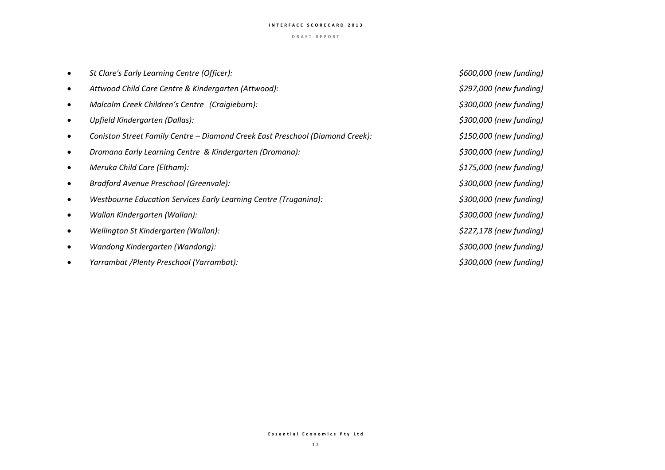#### **D R A F T R E P O R T**

| St Clare's Early Learning Centre (Officer):                                   | \$600,000 (new funding)  |
|-------------------------------------------------------------------------------|--------------------------|
| Attwood Child Care Centre & Kindergarten (Attwood):                           | \$297,000 (new funding)  |
| Malcolm Creek Children's Centre (Craigieburn):                                | \$300,000 (new funding)  |
| Upfield Kindergarten (Dallas):                                                | \$300,000 (new funding)  |
| Coniston Street Family Centre – Diamond Creek East Preschool (Diamond Creek): | $$150,000$ (new funding) |
| Dromana Early Learning Centre & Kindergarten (Dromana):                       | \$300,000 (new funding)  |
| Meruka Child Care (Eltham):                                                   | \$175,000 (new funding)  |
| Bradford Avenue Preschool (Greenvale):                                        | \$300,000 (new funding)  |
| Westbourne Education Services Early Learning Centre (Truganina):              | \$300,000 (new funding)  |
| Wallan Kindergarten (Wallan):                                                 | \$300,000 (new funding)  |
| Wellington St Kindergarten (Wallan):                                          | \$227,178 (new funding)  |
| Wandong Kindergarten (Wandong):                                               | \$300,000 (new funding)  |
| Yarrambat /Plenty Preschool (Yarrambat):                                      | \$300,000 (new funding)  |

#### **E s s e n t i a l E c o n o m i c s P t y L t d**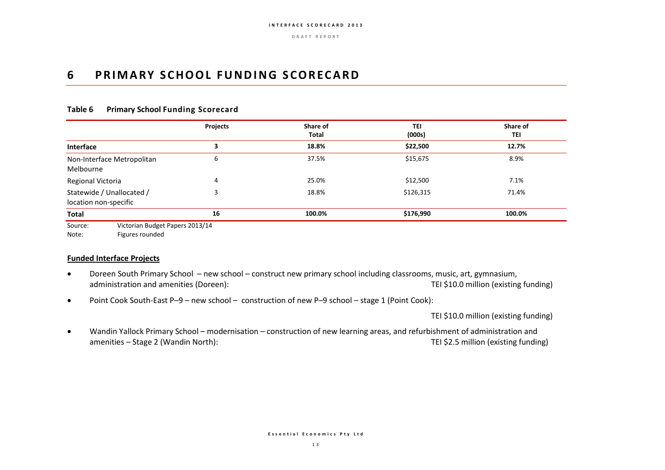**D R A F T R E P O R T**

## **6 PRIMARY SCHOOL FUNDING SCORECARD**

|                                                    | Projects | Share of<br>Total | TEI       | Share of<br><b>TEI</b> |
|----------------------------------------------------|----------|-------------------|-----------|------------------------|
|                                                    |          |                   | (000s)    |                        |
| Interface                                          |          | 18.8%             | \$22,500  | 12.7%                  |
| Non-Interface Metropolitan<br>Melbourne            | 6        | 37.5%             | \$15,675  | 8.9%                   |
| Regional Victoria                                  | 4        | 25.0%             | \$12,500  | 7.1%                   |
| Statewide / Unallocated /<br>location non-specific |          | 18.8%             | \$126,315 | 71.4%                  |
| Total                                              | 16       | 100.0%            | \$176,990 | 100.0%                 |

#### **Table 6 Primary School Funding Scorecard**

Note: Figures rounded

#### **Funded Interface Projects**

- Doreen South Primary School new school construct new primary school including classrooms, music, art, gymnasium, administration and amenities (Doreen): TEI \$10.0 million (existing funding)
- Point Cook South-East P–9 new school construction of new P–9 school stage 1 (Point Cook):

TEI \$10.0 million (existing funding)

 Wandin Yallock Primary School – modernisation – construction of new learning areas, and refurbishment of administration and amenities – Stage 2 (Wandin North): TEI \$2.5 million (existing funding)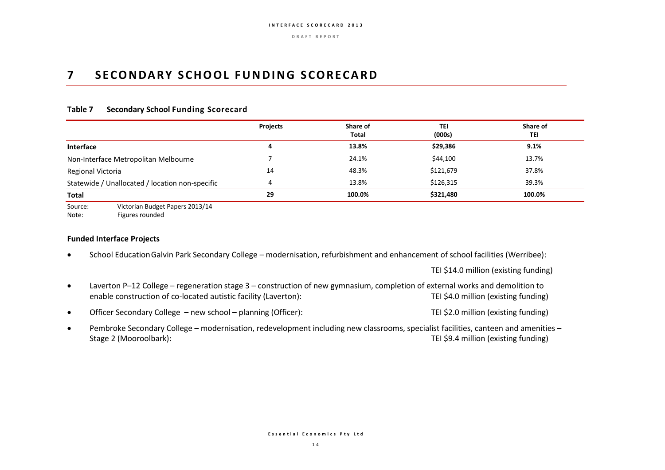## **7 S E C O N DA R Y S C H O O L F U ND I N G S C O R E C AR D**

#### **Table 7 Secondary School Funding Scorecard**

|                                                 | Projects | Share of<br>Total | TEI<br>(000s) | Share of<br>TEI |
|-------------------------------------------------|----------|-------------------|---------------|-----------------|
| Interface                                       |          | 13.8%             | \$29,386      | 9.1%            |
| Non-Interface Metropolitan Melbourne            |          | 24.1%             | \$44,100      | 13.7%           |
| Regional Victoria                               | 14       | 48.3%             | \$121,679     | 37.8%           |
| Statewide / Unallocated / location non-specific |          | 13.8%             | \$126,315     | 39.3%           |
| Total                                           | 29       | 100.0%            | \$321,480     | 100.0%          |

Source: Victorian Budget Papers 2013/14 Note: Figures rounded

**Funded Interface Projects**

School EducationGalvin Park Secondary College – modernisation, refurbishment and enhancement of school facilities (Werribee):

TEI \$14.0 million (existing funding)

- Laverton P–12 College regeneration stage 3 construction of new gymnasium, completion of external works and demolition to enable construction of co-located autistic facility (Laverton): TEI \$4.0 million (existing funding)
- Officer Secondary College new school planning (Officer): TEI \$2.0 million (existing funding)
- Pembroke Secondary College modernisation, redevelopment including new classrooms, specialist facilities, canteen and amenities Stage 2 (Mooroolbark): TEI \$9.4 million (existing funding)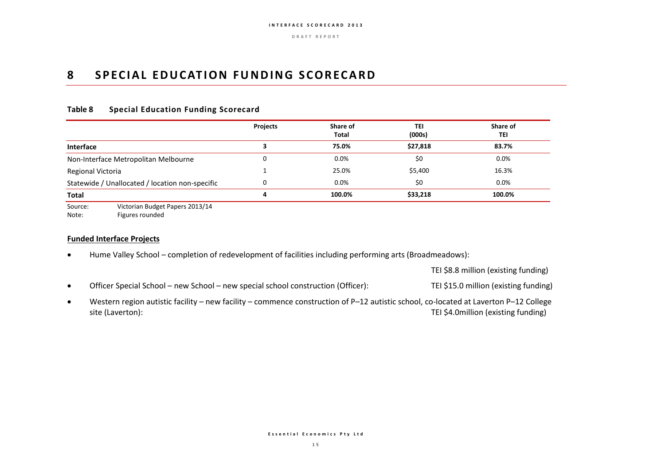## **8** SPECIAL EDUCATION FUNDING SCORECARD

### **Table 8 Special Education Funding Scorecard**

|                                                 | <b>Projects</b> | Share of<br><b>Total</b> | TEI<br>(000s) | Share of<br>TEI |
|-------------------------------------------------|-----------------|--------------------------|---------------|-----------------|
| <b>Interface</b>                                |                 | 75.0%                    | \$27,818      | 83.7%           |
| Non-Interface Metropolitan Melbourne            |                 | 0.0%                     | \$0           | 0.0%            |
| Regional Victoria                               |                 | 25.0%                    | \$5,400       | 16.3%           |
| Statewide / Unallocated / location non-specific | 0               | 0.0%                     | \$0           | 0.0%            |
| <b>Total</b>                                    | 4               | 100.0%                   | \$33,218      | 100.0%          |

Source: Victorian Budget Papers 2013/14 Note: Figures rounded

#### **Funded Interface Projects**

Hume Valley School – completion of redevelopment of facilities including performing arts (Broadmeadows):

TEI \$8.8 million (existing funding)

- Officer Special School new School new special school construction (Officer): TEI \$15.0 million (existing funding)
- Western region autistic facility new facility commence construction of P–12 autistic school, co-located at Laverton P–12 College site (Laverton): TEI \$4.0million (existing funding)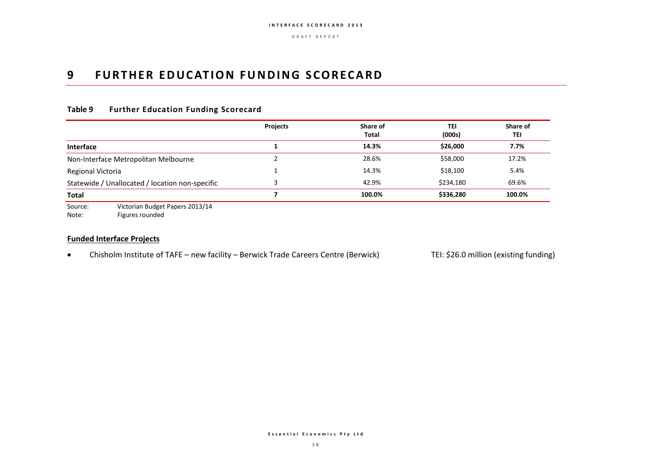## **9 FURTHER EDUCATION FUNDING SCORECARD**

### **Table 9 Further Education Funding Scorecard**

|                                                 | <b>Projects</b> | Share of<br>Total | TEI<br>(000s) | Share of<br>TEI |
|-------------------------------------------------|-----------------|-------------------|---------------|-----------------|
| <b>Interface</b>                                |                 | 14.3%             | \$26,000      | 7.7%            |
| Non-Interface Metropolitan Melbourne            |                 | 28.6%             | \$58,000      | 17.2%           |
| Regional Victoria                               |                 | 14.3%             | \$18,100      | 5.4%            |
| Statewide / Unallocated / location non-specific |                 | 42.9%             | \$234,180     | 69.6%           |
| <b>Total</b>                                    |                 | 100.0%            | \$336,280     | 100.0%          |
| Victorian Budget Baners 2012/14<br>$C_{011}$    |                 |                   |               |                 |

Source: Victorian Budget Papers 2013/14 Note: Figures rounded

#### **Funded Interface Projects**

• Chisholm Institute of TAFE – new facility – Berwick Trade Careers Centre (Berwick) TEI: \$26.0 million (existing funding)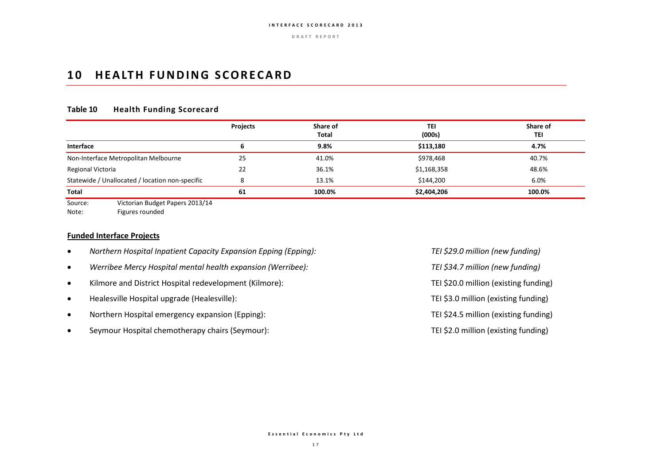### **10 HEALTH FUNDING SCORECARD**

### **Table 10 Health Funding Scorecard**

|                                                 | Projects | Share of<br><b>Total</b> | <b>TEI</b><br>(000s) | Share of<br>TEI |
|-------------------------------------------------|----------|--------------------------|----------------------|-----------------|
| <b>Interface</b>                                |          | 9.8%                     | \$113,180            | 4.7%            |
| Non-Interface Metropolitan Melbourne            | 25       | 41.0%                    | \$978,468            | 40.7%           |
| Regional Victoria                               | 22       | 36.1%                    | \$1,168,358          | 48.6%           |
| Statewide / Unallocated / location non-specific |          | 13.1%                    | \$144,200            | 6.0%            |
| Total                                           | 61       | 100.0%                   | \$2,404,206          | 100.0%          |
| Victorian Rudget Daners 2013/14<br>Source:      |          |                          |                      |                 |

Source: Victorian Budget Papers 2013/14 Note: Figures rounded

#### **Funded Interface Projects**

- *Northern Hospital Inpatient Capacity Expansion Epping (Epping): TEI \$29.0 million (new funding)*
- *Werribee Mercy Hospital mental health expansion (Werribee): TEI \$34.7 million (new funding)*
- Kilmore and District Hospital redevelopment (Kilmore): TEI \$20.0 million (existing funding)
- Healesville Hospital upgrade (Healesville): TEI \$3.0 million (existing funding)
- Northern Hospital emergency expansion (Epping): TEI \$24.5 million (existing funding)
- Seymour Hospital chemotherapy chairs (Seymour): TEI \$2.0 million (existing funding)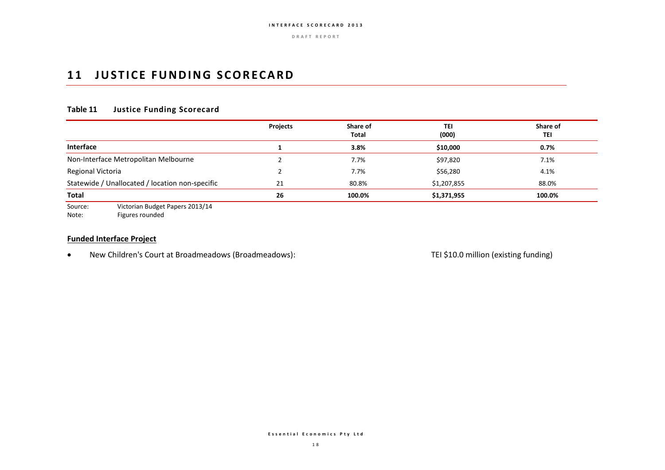## **11 JUSTICE FUNDING SCORECARD**

### **Table 11 Justice Funding Scorecard**

|                                                 | <b>Projects</b> | Share of<br><b>Total</b> | <b>TEI</b><br>(000) | Share of<br>TEI |
|-------------------------------------------------|-----------------|--------------------------|---------------------|-----------------|
| <b>Interface</b>                                |                 | 3.8%                     | \$10,000            | 0.7%            |
| Non-Interface Metropolitan Melbourne            |                 | 7.7%                     | \$97,820            | 7.1%            |
| Regional Victoria                               |                 | 7.7%                     | \$56,280            | 4.1%            |
| Statewide / Unallocated / location non-specific | 21              | 80.8%                    | \$1,207,855         | 88.0%           |
| <b>Total</b>                                    | 26              | 100.0%                   | \$1,371,955         | 100.0%          |

Source: Victorian Budget Papers 2013/14

Note: Figures rounded

#### **Funded Interface Project**

New Children's Court at Broadmeadows (Broadmeadows): TEI \$10.0 million (existing funding)

**E s s e n t i a l E c o n o m i c s P t y L t d**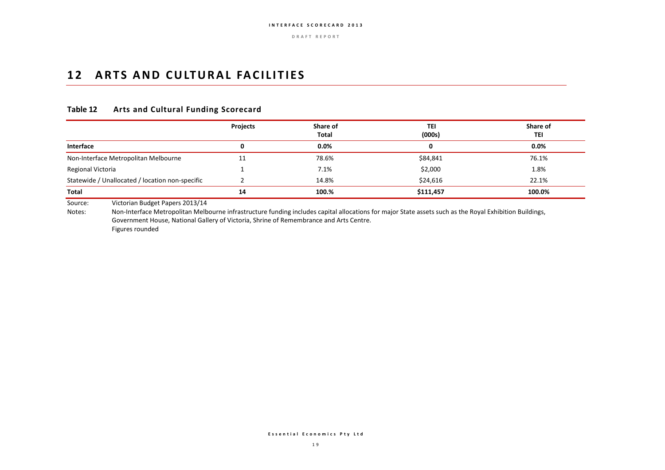## 12 ARTS AND CULTURAL FACILITIES

### **Table 12 Arts and Cultural Funding Scorecard**

|                                                 | Projects | Share of<br>Total | TEI<br>(000s) | Share of<br>TEI |
|-------------------------------------------------|----------|-------------------|---------------|-----------------|
| Interface                                       | 0        | 0.0%              | 0             | 0.0%            |
| Non-Interface Metropolitan Melbourne            | 11       | 78.6%             | \$84,841      | 76.1%           |
| Regional Victoria                               |          | 7.1%              | \$2,000       | 1.8%            |
| Statewide / Unallocated / location non-specific |          | 14.8%             | \$24,616      | 22.1%           |
| Total                                           | 14       | 100.%             | \$111,457     | 100.0%          |

Source: Victorian Budget Papers 2013/14

Notes: Non-Interface Metropolitan Melbourne infrastructure funding includes capital allocations for major State assets such as the Royal Exhibition Buildings, Government House, National Gallery of Victoria, Shrine of Remembrance and Arts Centre. Figures rounded

**E s s e n t i a l E c o n o m i c s P t y L t d**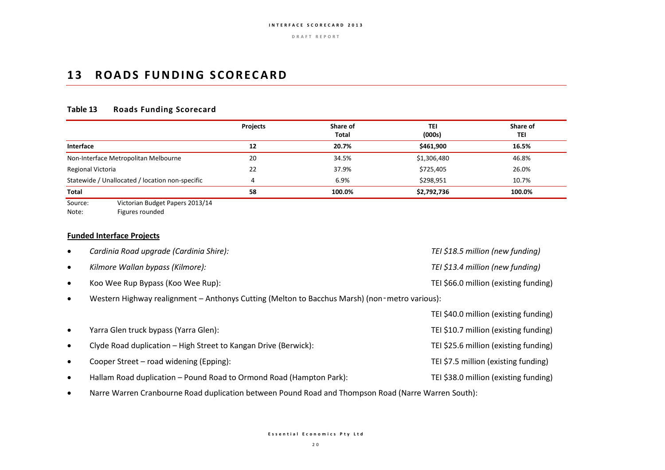## **13 ROADS FUNDING SCORECARD**

### **Table 13 Roads Funding Scorecard**

|                                                 | <b>Projects</b> | Share of<br>Total | TEI<br>(000s) | Share of<br>TEI |
|-------------------------------------------------|-----------------|-------------------|---------------|-----------------|
| Interface                                       | 12              | 20.7%             | \$461.900     | 16.5%           |
| Non-Interface Metropolitan Melbourne            | 20              | 34.5%             | \$1,306,480   | 46.8%           |
| Regional Victoria                               | 22              | 37.9%             | \$725,405     | 26.0%           |
| Statewide / Unallocated / location non-specific | 4               | 6.9%              | \$298,951     | 10.7%           |
| Total                                           | 58              | 100.0%            | \$2,792,736   | 100.0%          |
| Victorian Budget Paners 2013/14<br>$S$ $O$      |                 |                   |               |                 |

Source: Victorian Budget Papers 2013/14 Note: Figures rounded

### **Funded Interface Projects**

| $\bullet$ | Cardinia Road upgrade (Cardinia Shire):                                                             | TEI \$18.5 million (new funding)      |
|-----------|-----------------------------------------------------------------------------------------------------|---------------------------------------|
| $\bullet$ | Kilmore Wallan bypass (Kilmore):                                                                    | TEI \$13.4 million (new funding)      |
| $\bullet$ | Koo Wee Rup Bypass (Koo Wee Rup):                                                                   | TEI \$66.0 million (existing funding) |
| $\bullet$ | Western Highway realignment - Anthonys Cutting (Melton to Bacchus Marsh) (non-metro various):       |                                       |
|           |                                                                                                     | TEI \$40.0 million (existing funding) |
| $\bullet$ | Yarra Glen truck bypass (Yarra Glen):                                                               | TEI \$10.7 million (existing funding) |
| $\bullet$ | Clyde Road duplication - High Street to Kangan Drive (Berwick):                                     | TEI \$25.6 million (existing funding) |
| $\bullet$ | Cooper Street - road widening (Epping):                                                             | TEI \$7.5 million (existing funding)  |
| $\bullet$ | Hallam Road duplication - Pound Road to Ormond Road (Hampton Park):                                 | TEI \$38.0 million (existing funding) |
| $\bullet$ | Narre Warren Cranbourne Road duplication between Pound Road and Thompson Road (Narre Warren South): |                                       |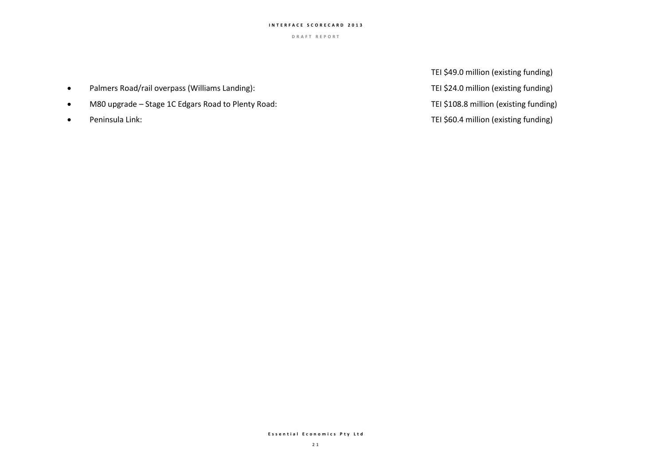**D R A F T R E P O R T**

- Palmers Road/rail overpass (Williams Landing): TEI \$24.0 million (existing funding)
- M80 upgrade Stage 1C Edgars Road to Plenty Road: TEI \$108.8 million (existing funding)
- 

TEI \$49.0 million (existing funding) Peninsula Link: TEI \$60.4 million (existing funding)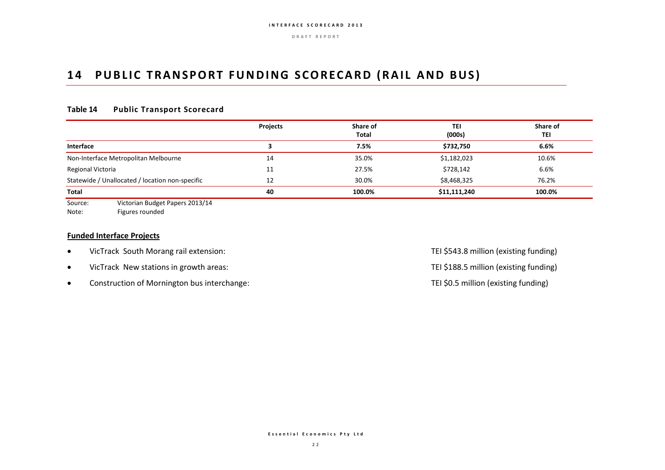## 14 PUBLIC TRANSPORT FUNDING SCORECARD (RAIL AND BUS)

### **Table 14 Public Transport Scorecard**

|                                                   | <b>Projects</b> | Share of<br>Total | TEI<br>(000s) | Share of<br>TEI |
|---------------------------------------------------|-----------------|-------------------|---------------|-----------------|
| Interface                                         |                 | 7.5%              | \$732,750     | 6.6%            |
| Non-Interface Metropolitan Melbourne              | 14              | 35.0%             | \$1,182,023   | 10.6%           |
| Regional Victoria                                 | 11              | 27.5%             | \$728,142     | 6.6%            |
| Statewide / Unallocated / location non-specific   | 12              | 30.0%             | \$8,468,325   | 76.2%           |
| Total                                             | 40              | 100.0%            | \$11,111,240  | 100.0%          |
| Victorian Rudget Daners 2013/14<br>S <sub>O</sub> |                 |                   |               |                 |

Source: Victorian Budget Papers 2013/14 Note: Figures rounded

#### **Funded Interface Projects**

- VicTrack South Morang rail extension: TEI \$543.8 million (existing funding)
- VicTrack New stations in growth areas: TEI \$188.5 million (existing funding)
- Construction of Mornington bus interchange: TEI \$0.5 million (existing funding)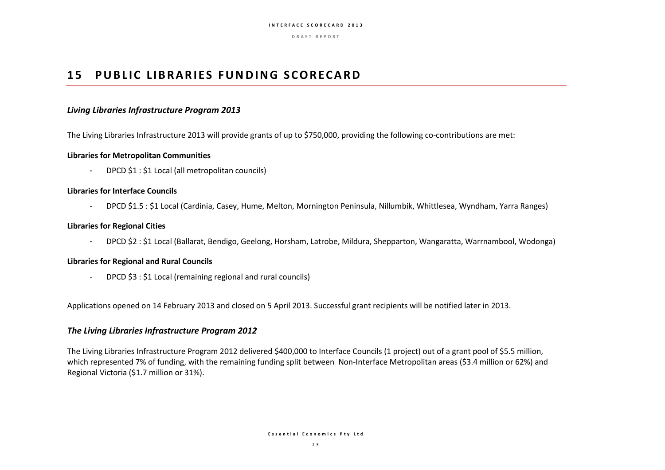**D R A F T R E P O R T**

## **15 PUBLIC LIBRARIES FUNDING SCORECARD**

#### *Living Libraries Infrastructure Program 2013*

The Living Libraries Infrastructure 2013 will provide grants of up to \$750,000, providing the following co-contributions are met:

#### **Libraries for Metropolitan Communities**

- DPCD \$1 : \$1 Local (all metropolitan councils)

#### **Libraries for Interface Councils**

- DPCD \$1.5 : \$1 Local (Cardinia, Casey, Hume, Melton, Mornington Peninsula, Nillumbik, Whittlesea, Wyndham, Yarra Ranges)

#### **Libraries for Regional Cities**

- DPCD \$2 : \$1 Local (Ballarat, Bendigo, Geelong, Horsham, Latrobe, Mildura, Shepparton, Wangaratta, Warrnambool, Wodonga)

#### **Libraries for Regional and Rural Councils**

- DPCD \$3 : \$1 Local (remaining regional and rural councils)

Applications opened on 14 February 2013 and closed on 5 April 2013. Successful grant recipients will be notified later in 2013.

#### *The Living Libraries Infrastructure Program 2012*

The Living Libraries Infrastructure Program 2012 delivered \$400,000 to Interface Councils (1 project) out of a grant pool of \$5.5 million, which represented 7% of funding, with the remaining funding split between Non-Interface Metropolitan areas (\$3.4 million or 62%) and Regional Victoria (\$1.7 million or 31%).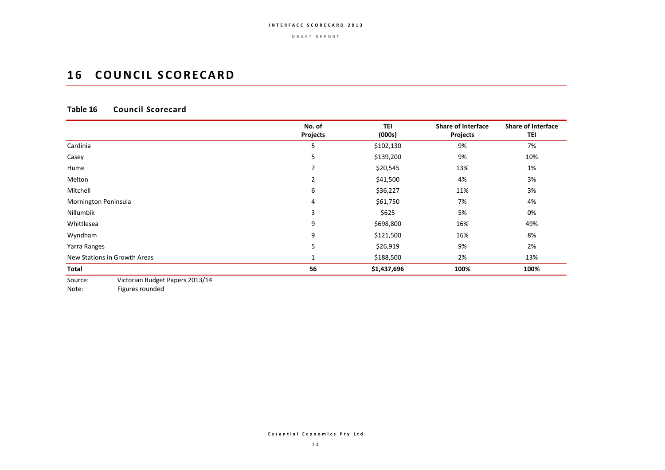**D R A F T R E P O R T**

## **16 COUNCIL SCORECARD**

### **Table 16 Council Scorecard**

|                                            | No. of<br><b>Projects</b> | TEI<br>(000s) | <b>Share of Interface</b><br>Projects | <b>Share of Interface</b><br>TEI |
|--------------------------------------------|---------------------------|---------------|---------------------------------------|----------------------------------|
| Cardinia                                   | 5                         | \$102,130     | 9%                                    | 7%                               |
| Casey                                      | 5                         | \$139,200     | 9%                                    | 10%                              |
| Hume                                       | ⇁                         | \$20,545      | 13%                                   | 1%                               |
| Melton                                     | 2                         | \$41,500      | 4%                                    | 3%                               |
| Mitchell                                   | 6                         | \$36,227      | 11%                                   | 3%                               |
| Mornington Peninsula                       | 4                         | \$61,750      | 7%                                    | 4%                               |
| Nillumbik                                  | 3                         | \$625         | 5%                                    | 0%                               |
| Whittlesea                                 | 9                         | \$698,800     | 16%                                   | 49%                              |
| Wyndham                                    | 9                         | \$121,500     | 16%                                   | 8%                               |
| Yarra Ranges                               | 5                         | \$26,919      | 9%                                    | 2%                               |
| New Stations in Growth Areas               |                           | \$188,500     | 2%                                    | 13%                              |
| Total                                      | 56                        | \$1,437,696   | 100%                                  | 100%                             |
| Wistorian Budget Banara 2012/14<br>$C_{0}$ |                           |               |                                       |                                  |

Source: Victorian Budget Papers 2013/14

Note: Figures rounded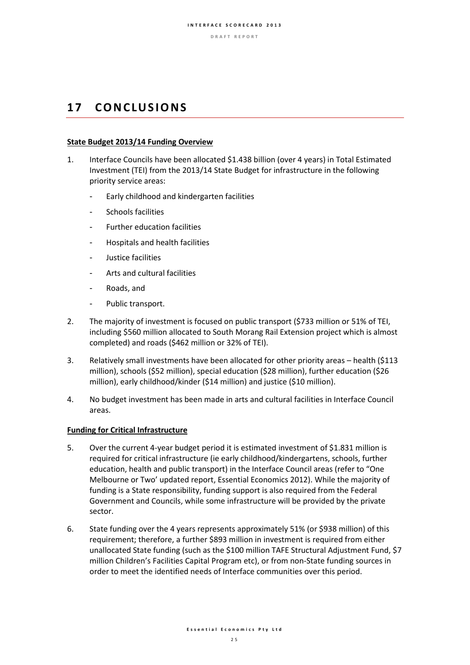## **1 7 C O N C LU S I O N S**

#### **State Budget 2013/14 Funding Overview**

- 1. Interface Councils have been allocated \$1.438 billion (over 4 years) in Total Estimated Investment (TEI) from the 2013/14 State Budget for infrastructure in the following priority service areas:
	- Early childhood and kindergarten facilities
	- Schools facilities
	- Further education facilities
	- Hospitals and health facilities
	- Justice facilities
	- Arts and cultural facilities
	- Roads, and
	- Public transport.
- 2. The majority of investment is focused on public transport (\$733 million or 51% of TEI, including \$560 million allocated to South Morang Rail Extension project which is almost completed) and roads (\$462 million or 32% of TEI).
- 3. Relatively small investments have been allocated for other priority areas health (\$113 million), schools (\$52 million), special education (\$28 million), further education (\$26 million), early childhood/kinder (\$14 million) and justice (\$10 million).
- 4. No budget investment has been made in arts and cultural facilities in Interface Council areas.

#### **Funding for Critical Infrastructure**

- 5. Over the current 4-year budget period it is estimated investment of \$1.831 million is required for critical infrastructure (ie early childhood/kindergartens, schools, further education, health and public transport) in the Interface Council areas (refer to "One Melbourne or Two' updated report, Essential Economics 2012). While the majority of funding is a State responsibility, funding support is also required from the Federal Government and Councils, while some infrastructure will be provided by the private sector.
- 6. State funding over the 4 years represents approximately 51% (or \$938 million) of this requirement; therefore, a further \$893 million in investment is required from either unallocated State funding (such as the \$100 million TAFE Structural Adjustment Fund, \$7 million Children's Facilities Capital Program etc), or from non-State funding sources in order to meet the identified needs of Interface communities over this period.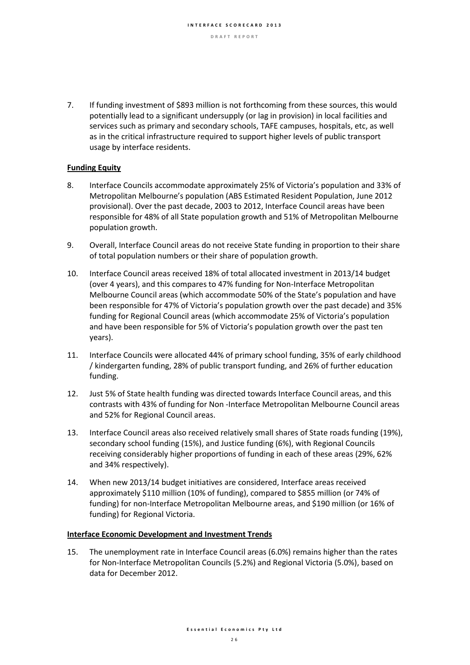7. If funding investment of \$893 million is not forthcoming from these sources, this would potentially lead to a significant undersupply (or lag in provision) in local facilities and services such as primary and secondary schools, TAFE campuses, hospitals, etc, as well as in the critical infrastructure required to support higher levels of public transport usage by interface residents.

### **Funding Equity**

- 8. Interface Councils accommodate approximately 25% of Victoria's population and 33% of Metropolitan Melbourne's population (ABS Estimated Resident Population, June 2012 provisional). Over the past decade, 2003 to 2012, Interface Council areas have been responsible for 48% of all State population growth and 51% of Metropolitan Melbourne population growth.
- 9. Overall, Interface Council areas do not receive State funding in proportion to their share of total population numbers or their share of population growth.
- 10. Interface Council areas received 18% of total allocated investment in 2013/14 budget (over 4 years), and this compares to 47% funding for Non-Interface Metropolitan Melbourne Council areas (which accommodate 50% of the State's population and have been responsible for 47% of Victoria's population growth over the past decade) and 35% funding for Regional Council areas (which accommodate 25% of Victoria's population and have been responsible for 5% of Victoria's population growth over the past ten years).
- 11. Interface Councils were allocated 44% of primary school funding, 35% of early childhood / kindergarten funding, 28% of public transport funding, and 26% of further education funding.
- 12. Just 5% of State health funding was directed towards Interface Council areas, and this contrasts with 43% of funding for Non -Interface Metropolitan Melbourne Council areas and 52% for Regional Council areas.
- 13. Interface Council areas also received relatively small shares of State roads funding (19%), secondary school funding (15%), and Justice funding (6%), with Regional Councils receiving considerably higher proportions of funding in each of these areas (29%, 62% and 34% respectively).
- 14. When new 2013/14 budget initiatives are considered, Interface areas received approximately \$110 million (10% of funding), compared to \$855 million (or 74% of funding) for non-Interface Metropolitan Melbourne areas, and \$190 million (or 16% of funding) for Regional Victoria.

#### **Interface Economic Development and Investment Trends**

15. The unemployment rate in Interface Council areas (6.0%) remains higher than the rates for Non-Interface Metropolitan Councils (5.2%) and Regional Victoria (5.0%), based on data for December 2012.